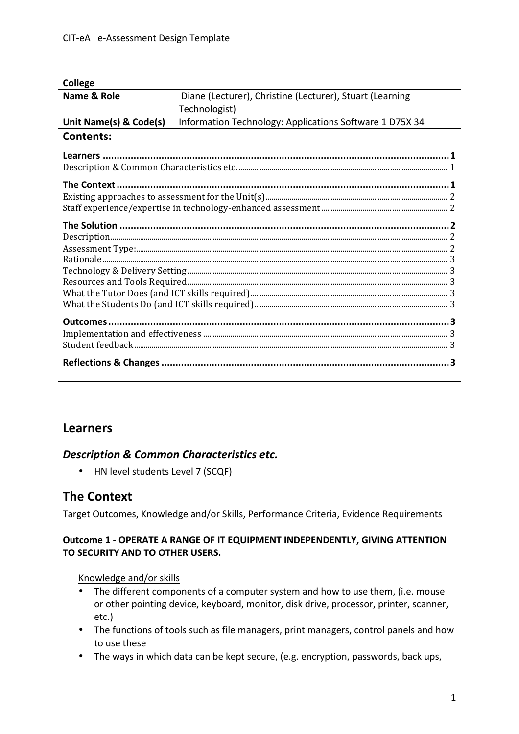| <b>College</b>         |                                                          |
|------------------------|----------------------------------------------------------|
| Name & Role            | Diane (Lecturer), Christine (Lecturer), Stuart (Learning |
|                        | Technologist)                                            |
| Unit Name(s) & Code(s) | Information Technology: Applications Software 1 D75X 34  |
| <b>Contents:</b>       |                                                          |
|                        |                                                          |
|                        |                                                          |
| The Context.           |                                                          |
|                        |                                                          |
|                        |                                                          |
|                        |                                                          |
|                        |                                                          |
|                        |                                                          |
|                        |                                                          |
|                        |                                                          |
|                        |                                                          |
|                        |                                                          |
|                        |                                                          |
|                        |                                                          |
|                        |                                                          |
|                        |                                                          |
|                        |                                                          |

# **Learners**

## **Description & Common Characteristics etc.**

• HN level students Level 7 (SCQF)

# **The Context**

Target Outcomes, Knowledge and/or Skills, Performance Criteria, Evidence Requirements

#### **Outcome 1 - OPERATE A RANGE OF IT EQUIPMENT INDEPENDENTLY, GIVING ATTENTION TO SECURITY AND TO OTHER USERS.**

#### Knowledge and/or skills

- The different components of a computer system and how to use them, (i.e. mouse or other pointing device, keyboard, monitor, disk drive, processor, printer, scanner, etc.)
- The functions of tools such as file managers, print managers, control panels and how to use these
- The ways in which data can be kept secure, (e.g. encryption, passwords, back ups,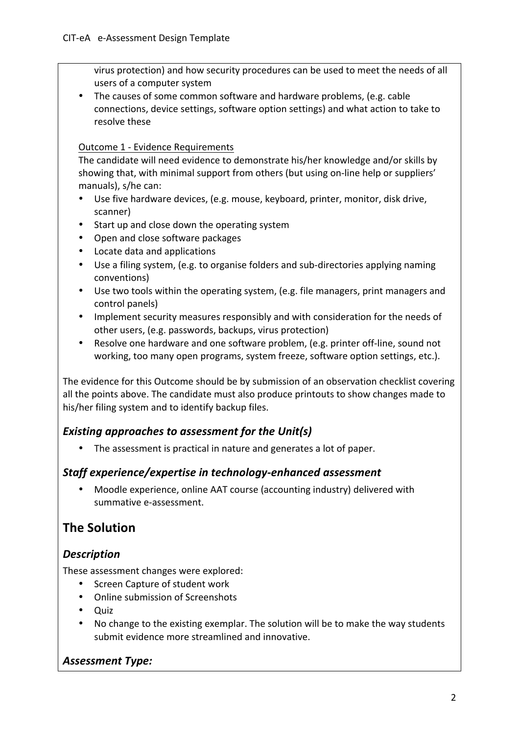virus protection) and how security procedures can be used to meet the needs of all users of a computer system

The causes of some common software and hardware problems, (e.g. cable connections, device settings, software option settings) and what action to take to resolve these

#### Outcome 1 - Evidence Requirements

The candidate will need evidence to demonstrate his/her knowledge and/or skills by showing that, with minimal support from others (but using on-line help or suppliers' manuals), s/he can:

- Use five hardware devices, (e.g. mouse, keyboard, printer, monitor, disk drive, scanner)
- Start up and close down the operating system
- Open and close software packages
- Locate data and applications
- Use a filing system, (e.g. to organise folders and sub-directories applying naming conventions)
- Use two tools within the operating system, (e.g. file managers, print managers and control panels)
- Implement security measures responsibly and with consideration for the needs of other users, (e.g. passwords, backups, virus protection)
- Resolve one hardware and one software problem, (e.g. printer off-line, sound not working, too many open programs, system freeze, software option settings, etc.).

The evidence for this Outcome should be by submission of an observation checklist covering all the points above. The candidate must also produce printouts to show changes made to his/her filing system and to identify backup files.

## *Existing approaches to assessment for the Unit(s)*

• The assessment is practical in nature and generates a lot of paper.

#### *Staff experience/expertise in technology-enhanced assessment*

Moodle experience, online AAT course (accounting industry) delivered with summative e-assessment.

# **The Solution**

## *Description*

These assessment changes were explored:

- Screen Capture of student work
- Online submission of Screenshots
- Quiz
- No change to the existing exemplar. The solution will be to make the way students submit evidence more streamlined and innovative.

## *Assessment Type:*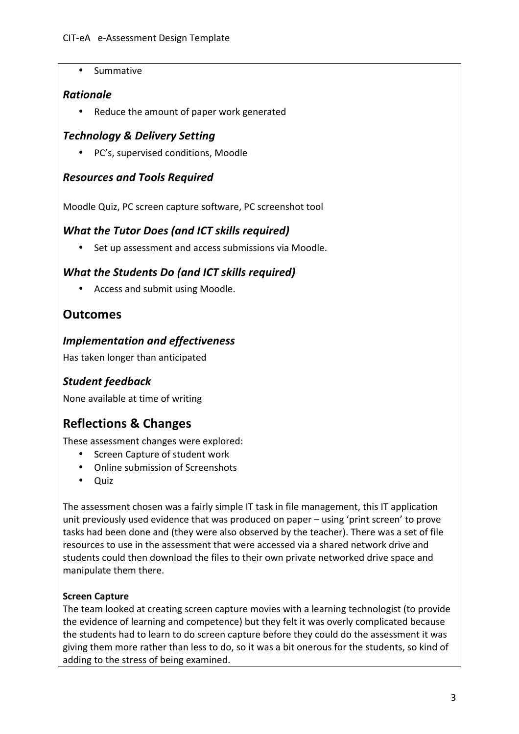• Summative

#### *Rationale*

• Reduce the amount of paper work generated

## *Technology & Delivery Setting*

• PC's, supervised conditions, Moodle

## *Resources and Tools Required*

Moodle Quiz, PC screen capture software, PC screenshot tool

## *What the Tutor Does (and ICT skills required)*

• Set up assessment and access submissions via Moodle.

## *What the Students Do land ICT skills required)*

• Access and submit using Moodle.

# **Outcomes**

#### *Implementation and effectiveness*

Has taken longer than anticipated

# *Student feedback*

None available at time of writing

# **Reflections & Changes**

These assessment changes were explored:

- Screen Capture of student work
- Online submission of Screenshots
- Quiz

The assessment chosen was a fairly simple IT task in file management, this IT application unit previously used evidence that was produced on paper – using 'print screen' to prove tasks had been done and (they were also observed by the teacher). There was a set of file resources to use in the assessment that were accessed via a shared network drive and students could then download the files to their own private networked drive space and manipulate them there.

#### **Screen Capture**

The team looked at creating screen capture movies with a learning technologist (to provide the evidence of learning and competence) but they felt it was overly complicated because the students had to learn to do screen capture before they could do the assessment it was giving them more rather than less to do, so it was a bit onerous for the students, so kind of adding to the stress of being examined.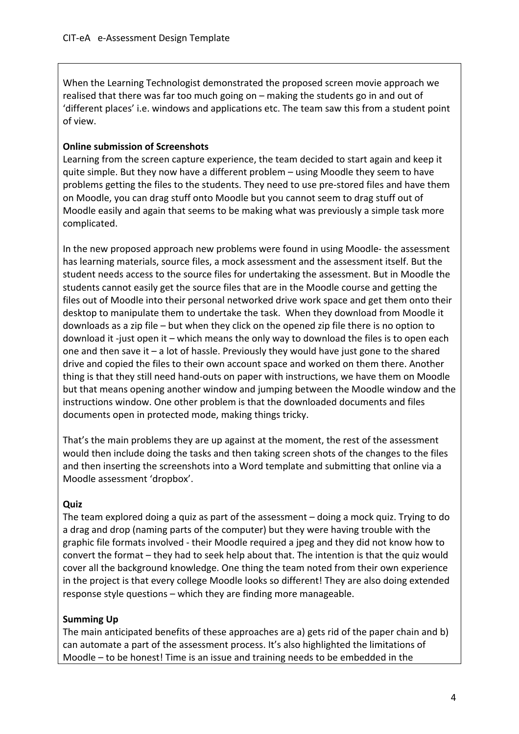When the Learning Technologist demonstrated the proposed screen movie approach we realised that there was far too much going on  $-$  making the students go in and out of 'different places' i.e. windows and applications etc. The team saw this from a student point of view.

#### **Online submission of Screenshots**

Learning from the screen capture experience, the team decided to start again and keep it quite simple. But they now have a different problem – using Moodle they seem to have problems getting the files to the students. They need to use pre-stored files and have them on Moodle, you can drag stuff onto Moodle but you cannot seem to drag stuff out of Moodle easily and again that seems to be making what was previously a simple task more complicated. 

In the new proposed approach new problems were found in using Moodle- the assessment has learning materials, source files, a mock assessment and the assessment itself. But the student needs access to the source files for undertaking the assessment. But in Moodle the students cannot easily get the source files that are in the Moodle course and getting the files out of Moodle into their personal networked drive work space and get them onto their desktop to manipulate them to undertake the task. When they download from Moodle it downloads as a zip file  $-$  but when they click on the opened zip file there is no option to download it -just open it – which means the only way to download the files is to open each one and then save it  $-$  a lot of hassle. Previously they would have just gone to the shared drive and copied the files to their own account space and worked on them there. Another thing is that they still need hand-outs on paper with instructions, we have them on Moodle but that means opening another window and jumping between the Moodle window and the instructions window. One other problem is that the downloaded documents and files documents open in protected mode, making things tricky.

That's the main problems they are up against at the moment, the rest of the assessment would then include doing the tasks and then taking screen shots of the changes to the files and then inserting the screenshots into a Word template and submitting that online via a Moodle assessment 'dropbox'.

#### **Quiz**

The team explored doing a quiz as part of the assessment  $-$  doing a mock quiz. Trying to do a drag and drop (naming parts of the computer) but they were having trouble with the graphic file formats involved - their Moodle required a jpeg and they did not know how to convert the format – they had to seek help about that. The intention is that the quiz would cover all the background knowledge. One thing the team noted from their own experience in the project is that every college Moodle looks so different! They are also doing extended response style questions  $-$  which they are finding more manageable.

#### **Summing Up**

The main anticipated benefits of these approaches are a) gets rid of the paper chain and b) can automate a part of the assessment process. It's also highlighted the limitations of Moodle  $-$  to be honest! Time is an issue and training needs to be embedded in the